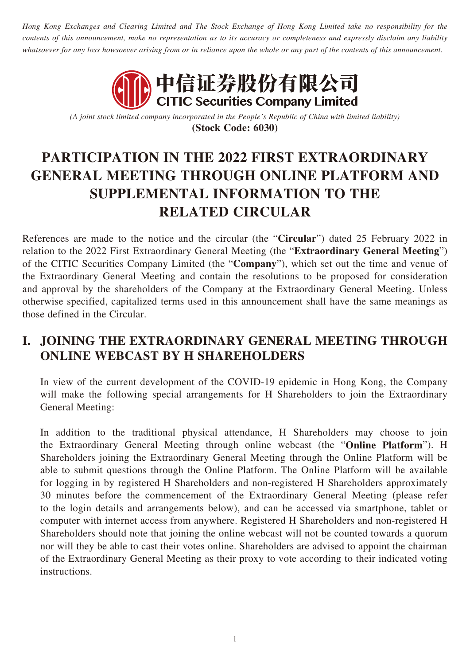*Hong Kong Exchanges and Clearing Limited and The Stock Exchange of Hong Kong Limited take no responsibility for the contents of this announcement, make no representation as to its accuracy or completeness and expressly disclaim any liability whatsoever for any loss howsoever arising from or in reliance upon the whole or any part of the contents of this announcement.*



*(A joint stock limited company incorporated in the People's Republic of China with limited liability)* **(Stock Code: 6030)**

# **PARTICIPATION IN THE 2022 FIRST EXTRAORDINARY GENERAL MEETING THROUGH ONLINE PLATFORM AND SUPPLEMENTAL INFORMATION TO THE RELATED CIRCULAR**

References are made to the notice and the circular (the "**Circular**") dated 25 February 2022 in relation to the 2022 First Extraordinary General Meeting (the "**Extraordinary General Meeting**") of the CITIC Securities Company Limited (the "**Company**"), which set out the time and venue of the Extraordinary General Meeting and contain the resolutions to be proposed for consideration and approval by the shareholders of the Company at the Extraordinary General Meeting. Unless otherwise specified, capitalized terms used in this announcement shall have the same meanings as those defined in the Circular.

## **I. JOINING THE EXTRAORDINARY GENERAL MEETING THROUGH ONLINE WEBCAST BY H SHAREHOLDERS**

In view of the current development of the COVID-19 epidemic in Hong Kong, the Company will make the following special arrangements for H Shareholders to join the Extraordinary General Meeting:

In addition to the traditional physical attendance, H Shareholders may choose to join the Extraordinary General Meeting through online webcast (the "**Online Platform**"). H Shareholders joining the Extraordinary General Meeting through the Online Platform will be able to submit questions through the Online Platform. The Online Platform will be available for logging in by registered H Shareholders and non-registered H Shareholders approximately 30 minutes before the commencement of the Extraordinary General Meeting (please refer to the login details and arrangements below), and can be accessed via smartphone, tablet or computer with internet access from anywhere. Registered H Shareholders and non-registered H Shareholders should note that joining the online webcast will not be counted towards a quorum nor will they be able to cast their votes online. Shareholders are advised to appoint the chairman of the Extraordinary General Meeting as their proxy to vote according to their indicated voting instructions.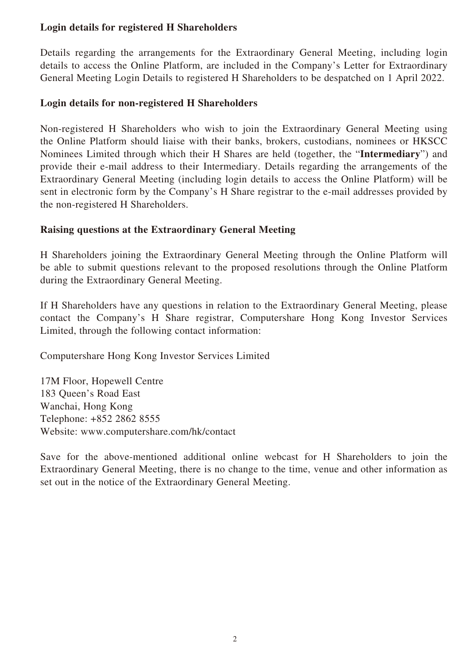### **Login details for registered H Shareholders**

Details regarding the arrangements for the Extraordinary General Meeting, including login details to access the Online Platform, are included in the Company's Letter for Extraordinary General Meeting Login Details to registered H Shareholders to be despatched on 1 April 2022.

#### **Login details for non-registered H Shareholders**

Non-registered H Shareholders who wish to join the Extraordinary General Meeting using the Online Platform should liaise with their banks, brokers, custodians, nominees or HKSCC Nominees Limited through which their H Shares are held (together, the "**Intermediary**") and provide their e-mail address to their Intermediary. Details regarding the arrangements of the Extraordinary General Meeting (including login details to access the Online Platform) will be sent in electronic form by the Company's H Share registrar to the e-mail addresses provided by the non-registered H Shareholders.

#### **Raising questions at the Extraordinary General Meeting**

H Shareholders joining the Extraordinary General Meeting through the Online Platform will be able to submit questions relevant to the proposed resolutions through the Online Platform during the Extraordinary General Meeting.

If H Shareholders have any questions in relation to the Extraordinary General Meeting, please contact the Company's H Share registrar, Computershare Hong Kong Investor Services Limited, through the following contact information:

Computershare Hong Kong Investor Services Limited

17M Floor, Hopewell Centre 183 Queen's Road East Wanchai, Hong Kong Telephone: +852 2862 8555 Website: www.computershare.com/hk/contact

Save for the above-mentioned additional online webcast for H Shareholders to join the Extraordinary General Meeting, there is no change to the time, venue and other information as set out in the notice of the Extraordinary General Meeting.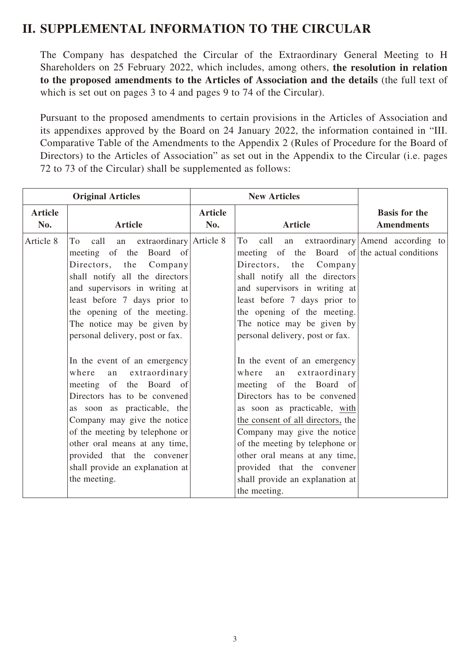## **II. SUPPLEMENTAL INFORMATION TO THE CIRCULAR**

The Company has despatched the Circular of the Extraordinary General Meeting to H Shareholders on 25 February 2022, which includes, among others, **the resolution in relation to the proposed amendments to the Articles of Association and the details** (the full text of which is set out on pages 3 to 4 and pages 9 to 74 of the Circular).

Pursuant to the proposed amendments to certain provisions in the Articles of Association and its appendixes approved by the Board on 24 January 2022, the information contained in "III. Comparative Table of the Amendments to the Appendix 2 (Rules of Procedure for the Board of Directors) to the Articles of Association" as set out in the Appendix to the Circular (i.e. pages 72 to 73 of the Circular) shall be supplemented as follows:

| <b>Original Articles</b> |                                                                                                                                                                                                                                                                                                                                                                                                                                                                                                                                                                                                                                                         | <b>New Articles</b>   |                                                                                                                                                                                                                                                                                                                                                                                                                                                                                                                                                                                                                                                                                                                 |                                           |
|--------------------------|---------------------------------------------------------------------------------------------------------------------------------------------------------------------------------------------------------------------------------------------------------------------------------------------------------------------------------------------------------------------------------------------------------------------------------------------------------------------------------------------------------------------------------------------------------------------------------------------------------------------------------------------------------|-----------------------|-----------------------------------------------------------------------------------------------------------------------------------------------------------------------------------------------------------------------------------------------------------------------------------------------------------------------------------------------------------------------------------------------------------------------------------------------------------------------------------------------------------------------------------------------------------------------------------------------------------------------------------------------------------------------------------------------------------------|-------------------------------------------|
| <b>Article</b><br>No.    | <b>Article</b>                                                                                                                                                                                                                                                                                                                                                                                                                                                                                                                                                                                                                                          | <b>Article</b><br>No. | <b>Article</b>                                                                                                                                                                                                                                                                                                                                                                                                                                                                                                                                                                                                                                                                                                  | <b>Basis for the</b><br><b>Amendments</b> |
| Article 8                | an extraordinary $\text{Article } 8$<br>call<br>To<br>meeting of the<br>Board of<br>Directors, the Company<br>shall notify all the directors<br>and supervisors in writing at<br>least before 7 days prior to<br>the opening of the meeting.<br>The notice may be given by<br>personal delivery, post or fax.<br>In the event of an emergency<br>an extraordinary<br>where<br>meeting of the Board of<br>Directors has to be convened<br>as soon as practicable, the<br>Company may give the notice<br>of the meeting by telephone or<br>other oral means at any time,<br>provided that the convener<br>shall provide an explanation at<br>the meeting. |                       | call an extraordinary Amend according to<br>To<br>meeting of the Board of the actual conditions<br>Directors, the<br>Company<br>shall notify all the directors<br>and supervisors in writing at<br>least before 7 days prior to<br>the opening of the meeting.<br>The notice may be given by<br>personal delivery, post or fax.<br>In the event of an emergency<br>an extraordinary<br>where<br>meeting of the Board of<br>Directors has to be convened<br>as soon as practicable, with<br>the consent of all directors, the<br>Company may give the notice<br>of the meeting by telephone or<br>other oral means at any time,<br>provided that the convener<br>shall provide an explanation at<br>the meeting. |                                           |